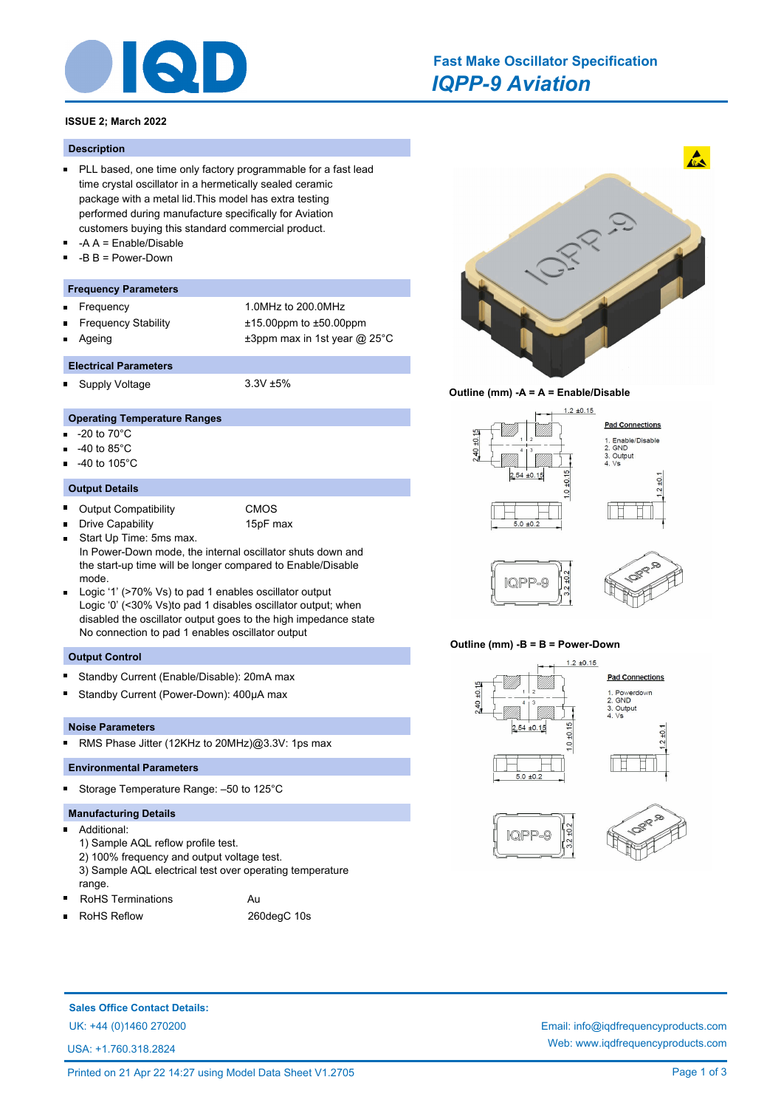

# *IQPP-9 Aviation* **Fast Make Oscillator Specification**

# **ISSUE 2; March 2022**

#### **Description**

- **PLL based, one time only factory programmable for a fast lead** time crystal oscillator in a hermetically sealed ceramic package with a metal lid.This model has extra testing performed during manufacture specifically for Aviation customers buying this standard commercial product.
- -A A = Enable/Disable
- -B B = Power-Down

# **Frequency Parameters**

- Frequency 1.0MHz to 200.0MHz  $\blacksquare$
- Frequency Stability ±15.00ppm to ±50.00ppm
- 
- 
- 
- Ageing  $\pm 3$ ppm max in 1st year @ 25°C

# **Electrical Parameters**

Supply Voltage 3.3V ±5%

# **Operating Temperature Ranges**

- -20 to 70°C n.
- -40 to 85°C
- -40 to 105°C

#### **Output Details**

 $\blacksquare$ Output Compatibility CMOS

Drive Capability 15pF max

- $\blacksquare$ Start Up Time: 5ms max.  $\blacksquare$ In Power-Down mode, the internal oscillator shuts down and the start-up time will be longer compared to Enable/Disable mode.
- Logic '1' (>70% Vs) to pad 1 enables oscillator output Logic '0' (<30% Vs)to pad 1 disables oscillator output; when disabled the oscillator output goes to the high impedance state No connection to pad 1 enables oscillator output

## **Output Control**

- Standby Current (Enable/Disable): 20mA max
- Ē Standby Current (Power-Down): 400µA max

## **Noise Parameters**

 $\blacksquare$ RMS Phase Jitter (12KHz to 20MHz)@3.3V: 1ps max

# **Environmental Parameters**

Storage Temperature Range: –50 to 125°C

# **Manufacturing Details**

- $\blacksquare$ Additional:
	- 1) Sample AQL reflow profile test.
	- 2) 100% frequency and output voltage test.
	- 3) Sample AQL electrical test over operating temperature range.
- RoHS Terminations **Au** RoHS Reflow 260degC 10s
- $\blacksquare$







## **Outline (mm) -B = B = Power-Down**



**Sales Office Contact Details:**

USA: +1.760.318.2824

UK: +44 (0)1460 270200 Email: info@iqdfrequencyproducts.com Web: www.iqdfrequencyproducts.com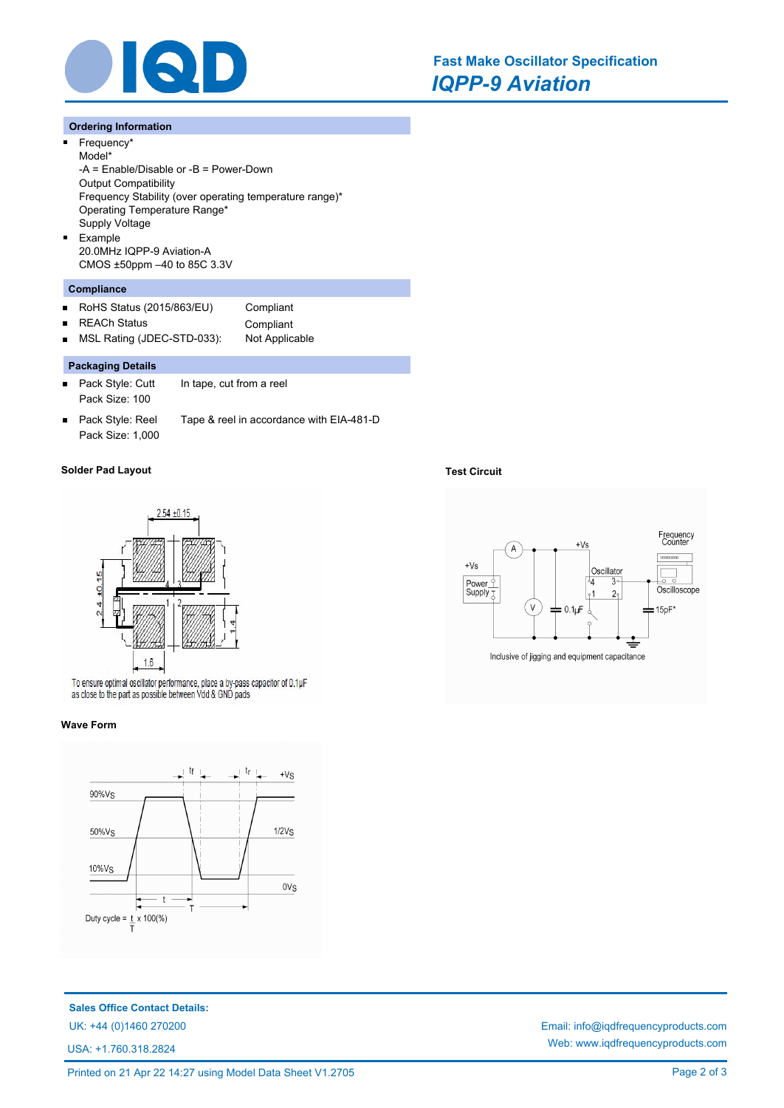

#### **Ordering Information**

 $\blacksquare$ 

 $\blacksquare$ 

 $\blacksquare$ 

Frequency\* Model\* -A = Enable/Disable or -B = Power-Down Output Compatibility Frequency Stability (over operating temperature range)\* Operating Temperature Range\* Supply Voltage Example 20.0MHz IQPP-9 Aviation-A CMOS ±50ppm –40 to 85C 3.3V

# **Compliance**

- RoHS Status (2015/863/EU) Compliant  $\blacksquare$
- $\blacksquare$

REACh Status **Compliant** MSL Rating (JDEC-STD-033): Not Applicable

# **Packaging Details**

- $\blacksquare$ Pack Style: Cutt In tape, cut from a reel Pack Size: 100
- Pack Style: Reel Tape & reel in accordance with EIA-481-D  $\blacksquare$ Pack Size: 1,000

# **Solder Pad Layout Test Circuit**



To ensure optimal oscillator performance, place a by-pass capacitor of 0.1µF as close to the part as possible between Vdd & GND pads

#### **Wave Form**



**Sales Office Contact Details:**

USA: +1.760.318.2824



UK: +44 (0)1460 270200 Email: info@iqdfrequencyproducts.com Web: www.iqdfrequencyproducts.com